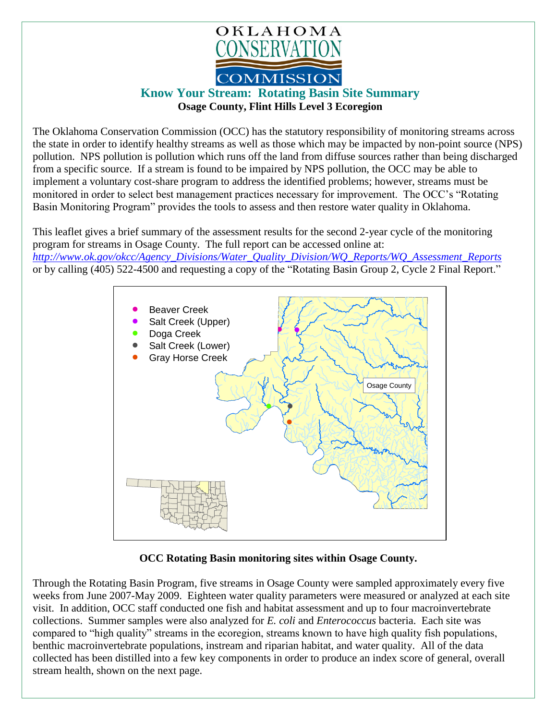

## **Know Your Stream: Rotating Basin Site Summary Osage County, Flint Hills Level 3 Ecoregion**

The Oklahoma Conservation Commission (OCC) has the statutory responsibility of monitoring streams across the state in order to identify healthy streams as well as those which may be impacted by non-point source (NPS) pollution. NPS pollution is pollution which runs off the land from diffuse sources rather than being discharged from a specific source. If a stream is found to be impaired by NPS pollution, the OCC may be able to implement a voluntary cost-share program to address the identified problems; however, streams must be monitored in order to select best management practices necessary for improvement. The OCC's "Rotating Basin Monitoring Program" provides the tools to assess and then restore water quality in Oklahoma.

This leaflet gives a brief summary of the assessment results for the second 2-year cycle of the monitoring program for streams in Osage County. The full report can be accessed online at: *[http://www.ok.gov/okcc/Agency\\_Divisions/Water\\_Quality\\_Division/WQ\\_Reports/WQ\\_Assessment\\_Reports](http://www.ok.gov/okcc/Agency_Divisions/Water_Quality_Division/WQ_Reports/WQ_Assessment_Reports)* or by calling (405) 522-4500 and requesting a copy of the "Rotating Basin Group 2, Cycle 2 Final Report."



## **OCC Rotating Basin monitoring sites within Osage County.**

Through the Rotating Basin Program, five streams in Osage County were sampled approximately every five weeks from June 2007-May 2009. Eighteen water quality parameters were measured or analyzed at each site visit. In addition, OCC staff conducted one fish and habitat assessment and up to four macroinvertebrate collections. Summer samples were also analyzed for *E. coli* and *Enterococcus* bacteria. Each site was compared to "high quality" streams in the ecoregion, streams known to have high quality fish populations, benthic macroinvertebrate populations, instream and riparian habitat, and water quality. All of the data collected has been distilled into a few key components in order to produce an index score of general, overall stream health, shown on the next page.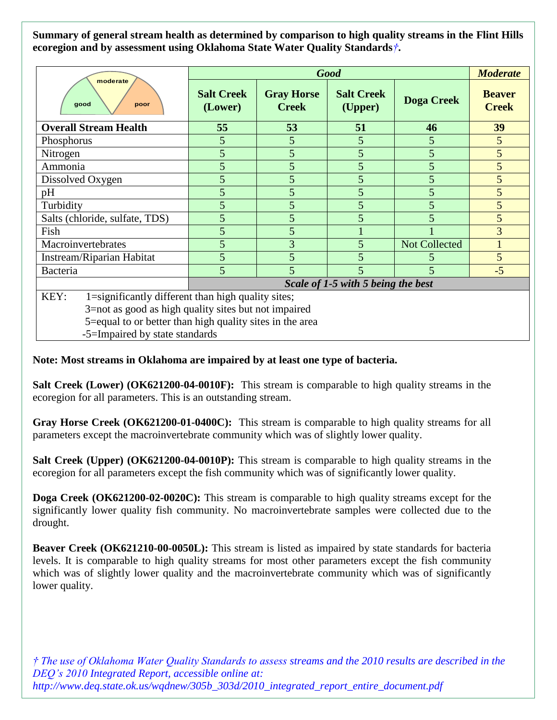**Summary of general stream health as determined by comparison to high quality streams in the Flint Hills ecoregion and by assessment using Oklahoma State Water Quality Standards***†***.**

| moderate<br>good<br>poor                                   | <b>Good</b>                        |                                   |                              |                      | <b>Moderate</b>               |
|------------------------------------------------------------|------------------------------------|-----------------------------------|------------------------------|----------------------|-------------------------------|
|                                                            | <b>Salt Creek</b><br>(Lower)       | <b>Gray Horse</b><br><b>Creek</b> | <b>Salt Creek</b><br>(Upper) | <b>Doga Creek</b>    | <b>Beaver</b><br><b>Creek</b> |
| <b>Overall Stream Health</b>                               | 55                                 | 53                                | 51                           | 46                   | 39                            |
| Phosphorus                                                 | 5                                  | 5                                 | 5                            | 5                    | 5 <sup>5</sup>                |
| Nitrogen                                                   | 5                                  | 5                                 | 5                            | 5                    | 5 <sup>5</sup>                |
| Ammonia                                                    | 5                                  | 5                                 | 5                            | 5                    | 5                             |
| Dissolved Oxygen                                           | 5                                  | 5                                 | 5                            | 5                    | $5\overline{)}$               |
| pH                                                         | 5                                  | 5                                 | 5                            | 5                    | $5\overline{)}$               |
| Turbidity                                                  | 5                                  | 5                                 | 5                            | 5                    | 5                             |
| Salts (chloride, sulfate, TDS)                             | 5                                  | 5                                 | 5                            | 5                    | 5                             |
| Fish                                                       | 5                                  | 5                                 |                              |                      | 3                             |
| Macroinvertebrates                                         | 5                                  | 3                                 | 5                            | <b>Not Collected</b> |                               |
| Instream/Riparian Habitat                                  | 5                                  | 5                                 | 5                            |                      | 5 <sup>5</sup>                |
| Bacteria                                                   | 5                                  | $\overline{\mathcal{L}}$          |                              | $\overline{5}$       | $-5$                          |
|                                                            | Scale of 1-5 with 5 being the best |                                   |                              |                      |                               |
| 1=significantly different than high quality sites;<br>KEY: |                                    |                                   |                              |                      |                               |
| 3=not as good as high quality sites but not impaired       |                                    |                                   |                              |                      |                               |
| 5=equal to or better than high quality sites in the area   |                                    |                                   |                              |                      |                               |

-5=Impaired by state standards

## **Note: Most streams in Oklahoma are impaired by at least one type of bacteria.**

**Salt Creek (Lower) (OK621200-04-0010F):** This stream is comparable to high quality streams in the ecoregion for all parameters. This is an outstanding stream.

**Gray Horse Creek (OK621200-01-0400C):** This stream is comparable to high quality streams for all parameters except the macroinvertebrate community which was of slightly lower quality.

**Salt Creek (Upper) (OK621200-04-0010P):** This stream is comparable to high quality streams in the ecoregion for all parameters except the fish community which was of significantly lower quality.

**Doga Creek (OK621200-02-0020C):** This stream is comparable to high quality streams except for the significantly lower quality fish community. No macroinvertebrate samples were collected due to the drought.

**Beaver Creek (OK621210-00-0050L):** This stream is listed as impaired by state standards for bacteria levels. It is comparable to high quality streams for most other parameters except the fish community which was of slightly lower quality and the macroinvertebrate community which was of significantly lower quality.

*† The use of Oklahoma Water Quality Standards to assess streams and the 2010 results are described in the DEQ's 2010 Integrated Report, accessible online at: http://www.deq.state.ok.us/wqdnew/305b\_303d/2010\_integrated\_report\_entire\_document.pdf*